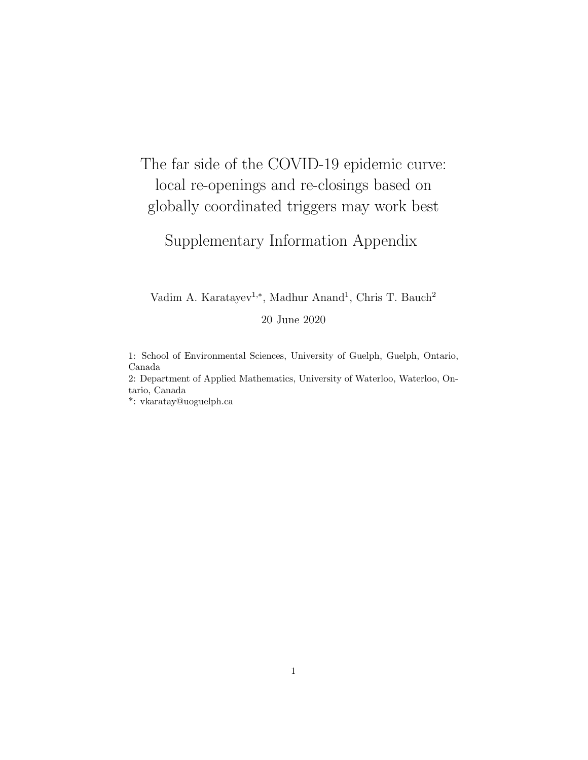## The far side of the COVID-19 epidemic curve: local re-openings and re-closings based on globally coordinated triggers may work best

## Supplementary Information Appendix

Vadim A. Karatayev<sup>1,\*</sup>, Madhur Anand<sup>1</sup>, Chris T. Bauch<sup>2</sup>

20 June 2020

1: School of Environmental Sciences, University of Guelph, Guelph, Ontario, Canada

2: Department of Applied Mathematics, University of Waterloo, Waterloo, Ontario, Canada

\*: vkaratay@uoguelph.ca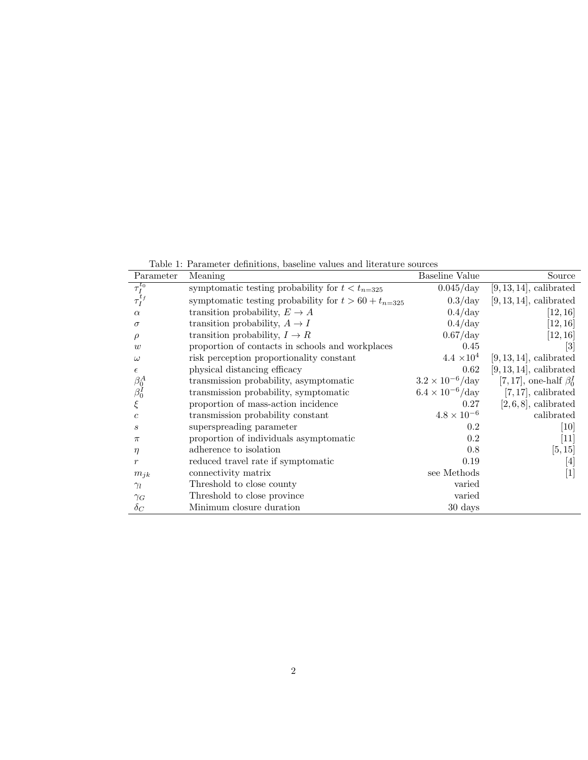Table 1: Parameter definitions, baseline values and literature sources

| Parameter                                             | Meaning                                                  | <b>Baseline Value</b>     | Source                                                                                                                                                                                                                                                                                                                                                                                                                                                                                                 |
|-------------------------------------------------------|----------------------------------------------------------|---------------------------|--------------------------------------------------------------------------------------------------------------------------------------------------------------------------------------------------------------------------------------------------------------------------------------------------------------------------------------------------------------------------------------------------------------------------------------------------------------------------------------------------------|
| $\overline{\tau_{I}^{t_0}}$                           | symptomatic testing probability for $t < t_{n=325}$      | $0.045/\text{day}$        | $[9, 13, 14]$ , calibrated                                                                                                                                                                                                                                                                                                                                                                                                                                                                             |
| $\tau_I^{{\overline t}_f}$                            | symptomatic testing probability for $t > 60 + t_{n=325}$ | $0.3/\text{day}$          | $[9, 13, 14]$ , calibrated                                                                                                                                                                                                                                                                                                                                                                                                                                                                             |
| $\alpha$                                              | transition probability, $E \to A$                        | $0.4/\text{day}$          | [12, 16]                                                                                                                                                                                                                                                                                                                                                                                                                                                                                               |
| $\sigma$                                              | transition probability, $A \rightarrow I$                | $0.4/\text{day}$          | [12, 16]                                                                                                                                                                                                                                                                                                                                                                                                                                                                                               |
| $\rho$                                                | transition probability, $I \rightarrow R$                | $0.67$ /day               | [12, 16]                                                                                                                                                                                                                                                                                                                                                                                                                                                                                               |
| w                                                     | proportion of contacts in schools and workplaces         | 0.45                      | $\lvert 3 \rvert$                                                                                                                                                                                                                                                                                                                                                                                                                                                                                      |
| $\omega$                                              | risk perception proportionality constant                 | $4.4 \times 10^4$         | $[9, 13, 14]$ , calibrated                                                                                                                                                                                                                                                                                                                                                                                                                                                                             |
| $\epsilon$                                            | physical distancing efficacy                             | 0.62                      | $[9, 13, 14]$ , calibrated                                                                                                                                                                                                                                                                                                                                                                                                                                                                             |
|                                                       | transmission probability, asymptomatic                   |                           | $3.2 \times 10^{-6}$ /day [7,17], one-half $\beta_0^I$                                                                                                                                                                                                                                                                                                                                                                                                                                                 |
| $\begin{array}{c} \beta^A_0 \\ \beta^I_0 \end{array}$ | transmission probability, symptomatic                    | $6.4 \times 10^{-6}$ /day | $[7, 17]$ , calibrated                                                                                                                                                                                                                                                                                                                                                                                                                                                                                 |
|                                                       | proportion of mass-action incidence                      | 0.27                      | $[2,6,8]$ , calibrated                                                                                                                                                                                                                                                                                                                                                                                                                                                                                 |
| C                                                     | transmission probability constant                        | $4.8 \times 10^{-6}$      | calibrated                                                                                                                                                                                                                                                                                                                                                                                                                                                                                             |
| S                                                     | superspreading parameter                                 | 0.2                       | [10]                                                                                                                                                                                                                                                                                                                                                                                                                                                                                                   |
| $\pi$                                                 | proportion of individuals asymptomatic                   | 0.2                       | $\left[11\right]$                                                                                                                                                                                                                                                                                                                                                                                                                                                                                      |
| $\eta$                                                | adherence to isolation                                   | 0.8                       | [5, 15]                                                                                                                                                                                                                                                                                                                                                                                                                                                                                                |
| r                                                     | reduced travel rate if symptomatic                       | 0.19                      | $[4] % \includegraphics[width=0.9\columnwidth]{figures/fig_4} \caption{A graph shows a function of the parameter \Omega and the parameter \Omega for the parameter \Omega and the parameter \Omega for the parameter \Omega and the parameter \Omega for the parameter \Omega and the parameter \Omega for the parameter \Omega and the parameter \Omega for the parameter \Omega and the parameter \Omega for the parameter \Omega and the parameter \Omega for the parameter <math display="</math>$ |
| $m_{ik}$                                              | connectivity matrix                                      | see Methods               | $\lceil 1 \rceil$                                                                                                                                                                                                                                                                                                                                                                                                                                                                                      |
| $\gamma_l$                                            | Threshold to close county                                | varied                    |                                                                                                                                                                                                                                                                                                                                                                                                                                                                                                        |
| $\gamma_G$                                            | Threshold to close province                              | varied                    |                                                                                                                                                                                                                                                                                                                                                                                                                                                                                                        |
| $\delta_C$                                            | Minimum closure duration                                 | $30 \ \mathrm{days}$      |                                                                                                                                                                                                                                                                                                                                                                                                                                                                                                        |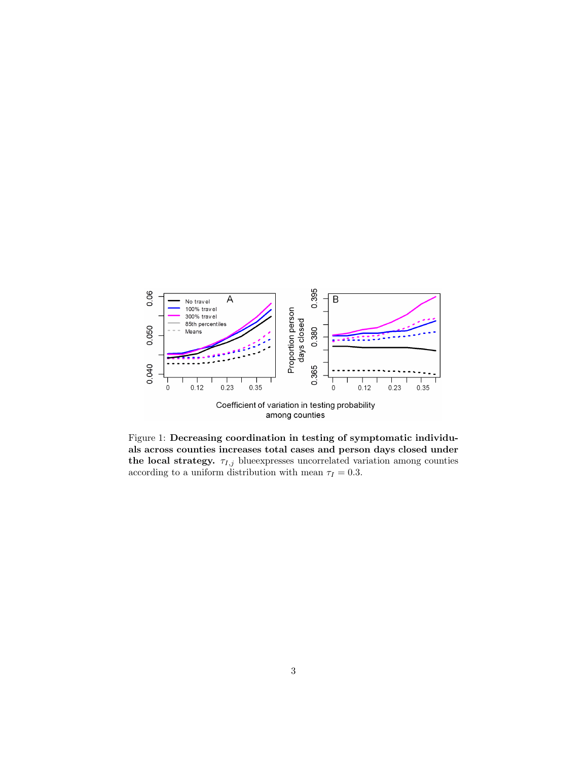

Figure 1: Decreasing coordination in testing of symptomatic individuals across counties increases total cases and person days closed under the local strategy.  $\tau_{I,j}$  blue xpresses uncorrelated variation among counties according to a uniform distribution with mean  $\tau_I = 0.3$ .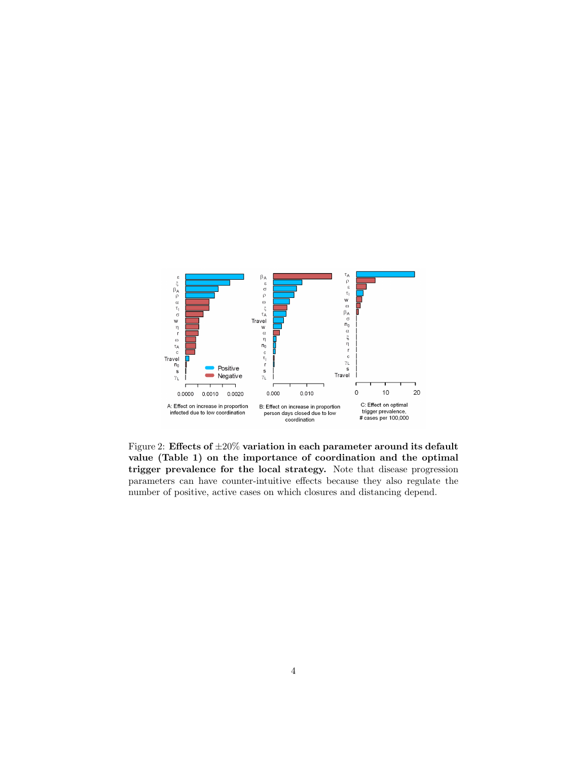

Figure 2: Effects of  $\pm 20\%$  variation in each parameter around its default value (Table 1) on the importance of coordination and the optimal trigger prevalence for the local strategy. Note that disease progression parameters can have counter-intuitive effects because they also regulate the number of positive, active cases on which closures and distancing depend.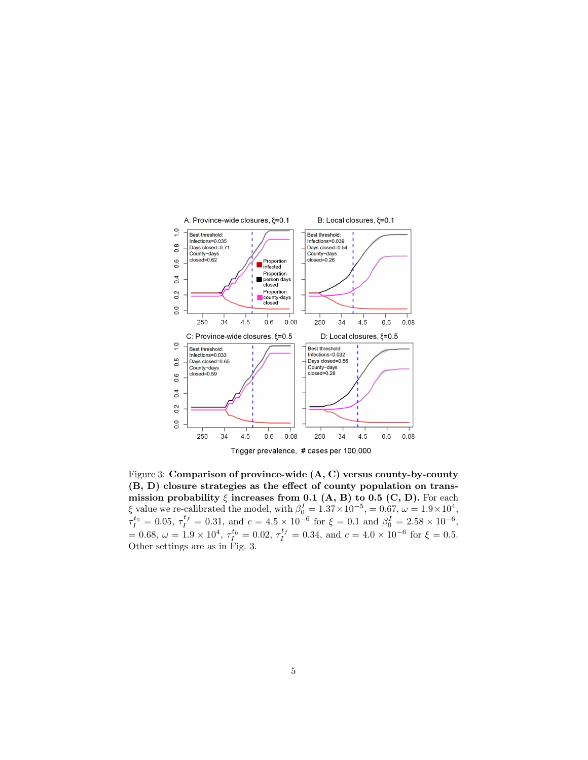

Figure 3: Comparison of province-wide (A, C) versus county-by-county (B, D) closure strategies as the effect of county population on transmission probability  $\xi$  increases from 0.1 (A, B) to 0.5 (C, D). For each  $\xi$  value we re-calibrated the model, with  $\beta_0^I = 1.37 \times 10^{-5}$ , = 0.67,  $\omega = 1.9 \times 10^4$ ,  $\tau_I^{t_0} = 0.05, \tau_I^{t_f} = 0.31, \text{ and } c = 4.5 \times 10^{-6} \text{ for } \xi = 0.1 \text{ and } \beta_0^I = 2.58 \times 10^{-6},$ = 0.68,  $\omega = 1.9 \times 10^4$ ,  $\tau_I^{t_0} = 0.02$ ,  $\tau_I^{t_f} = 0.34$ , and  $c = 4.0 \times 10^{-6}$  for  $\xi = 0.5$ . Other settings are as in Fig. 3.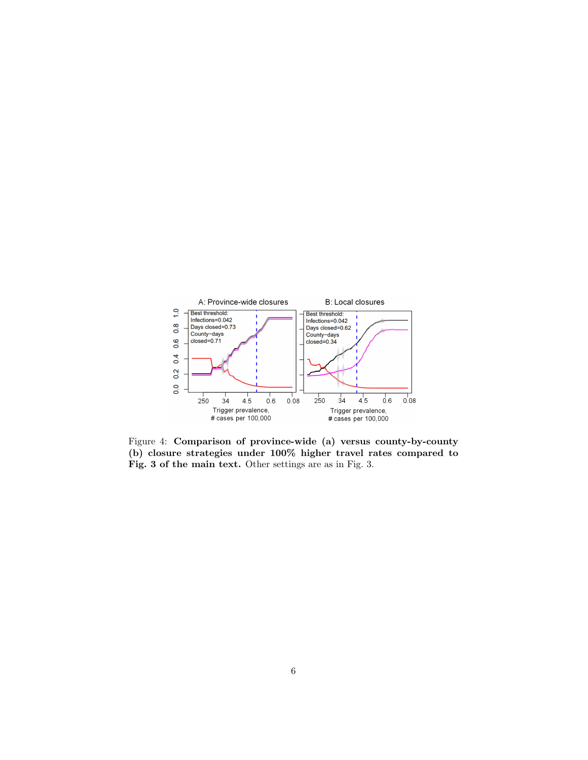

Figure 4: Comparison of province-wide (a) versus county-by-county (b) closure strategies under 100% higher travel rates compared to Fig. 3 of the main text. Other settings are as in Fig. 3.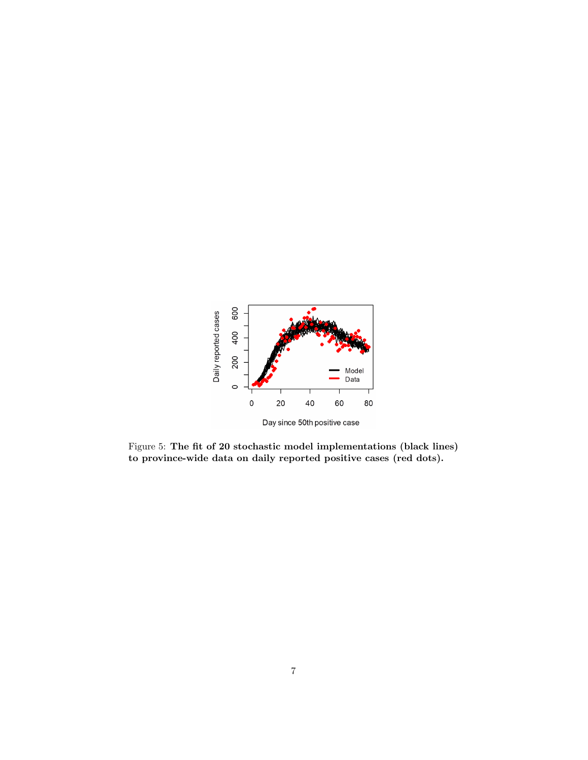

Figure 5: The fit of 20 stochastic model implementations (black lines) to province-wide data on daily reported positive cases (red dots).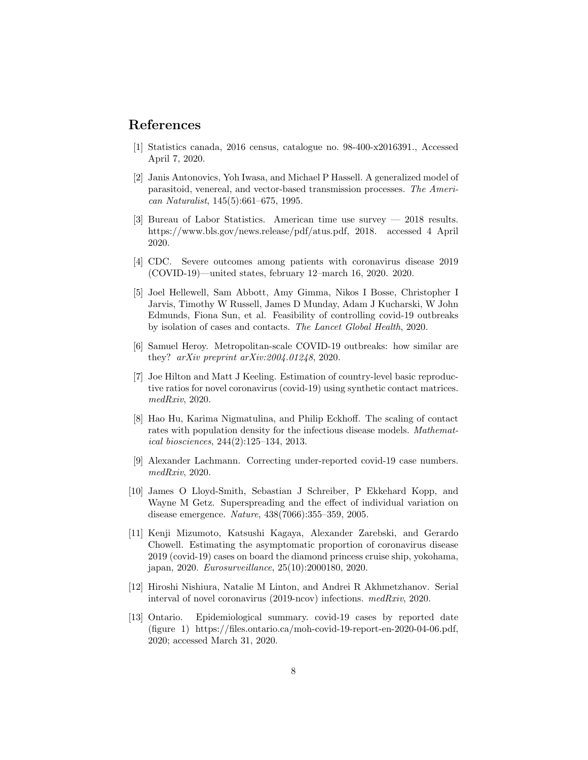## References

- [1] Statistics canada, 2016 census, catalogue no. 98-400-x2016391., Accessed April 7, 2020.
- [2] Janis Antonovics, Yoh Iwasa, and Michael P Hassell. A generalized model of parasitoid, venereal, and vector-based transmission processes. The American Naturalist, 145(5):661–675, 1995.
- [3] Bureau of Labor Statistics. American time use survey 2018 results. https://www.bls.gov/news.release/pdf/atus.pdf, 2018. accessed 4 April 2020.
- [4] CDC. Severe outcomes among patients with coronavirus disease 2019 (COVID-19)—united states, february 12–march 16, 2020. 2020.
- [5] Joel Hellewell, Sam Abbott, Amy Gimma, Nikos I Bosse, Christopher I Jarvis, Timothy W Russell, James D Munday, Adam J Kucharski, W John Edmunds, Fiona Sun, et al. Feasibility of controlling covid-19 outbreaks by isolation of cases and contacts. The Lancet Global Health, 2020.
- [6] Samuel Heroy. Metropolitan-scale COVID-19 outbreaks: how similar are they? arXiv preprint arXiv:2004.01248, 2020.
- [7] Joe Hilton and Matt J Keeling. Estimation of country-level basic reproductive ratios for novel coronavirus (covid-19) using synthetic contact matrices. medRxiv, 2020.
- [8] Hao Hu, Karima Nigmatulina, and Philip Eckhoff. The scaling of contact rates with population density for the infectious disease models. Mathematical biosciences, 244(2):125–134, 2013.
- [9] Alexander Lachmann. Correcting under-reported covid-19 case numbers. medRxiv, 2020.
- [10] James O Lloyd-Smith, Sebastian J Schreiber, P Ekkehard Kopp, and Wayne M Getz. Superspreading and the effect of individual variation on disease emergence. Nature, 438(7066):355–359, 2005.
- [11] Kenji Mizumoto, Katsushi Kagaya, Alexander Zarebski, and Gerardo Chowell. Estimating the asymptomatic proportion of coronavirus disease 2019 (covid-19) cases on board the diamond princess cruise ship, yokohama, japan, 2020. Eurosurveillance, 25(10):2000180, 2020.
- [12] Hiroshi Nishiura, Natalie M Linton, and Andrei R Akhmetzhanov. Serial interval of novel coronavirus (2019-ncov) infections. medRxiv, 2020.
- [13] Ontario. Epidemiological summary. covid-19 cases by reported date (figure 1) https://files.ontario.ca/moh-covid-19-report-en-2020-04-06.pdf, 2020; accessed March 31, 2020.